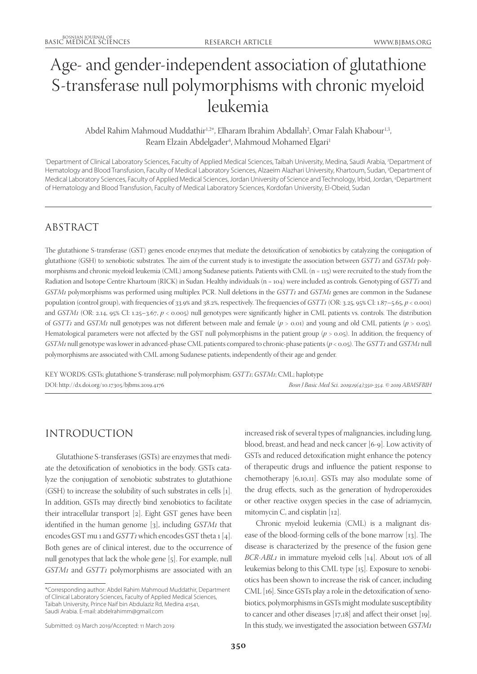# Age- and gender-independent association of glutathione S-transferase null polymorphisms with chronic myeloid leukemia

## Abdel Rahim Mahmoud Muddathir<sup>1,2\*</sup>, Elharam Ibrahim Abdallah<sup>2</sup>, Omar Falah Khabour<sup>1,3</sup>, Ream Elzain Abdelgader<sup>4</sup>, Mahmoud Mohamed Elgari<sup>1</sup>

'Department of Clinical Laboratory Sciences, Faculty of Applied Medical Sciences, Taibah University, Medina, Saudi Arabia, <sup>2</sup>Department of Hematology and Blood Transfusion, Faculty of Medical Laboratory Sciences, Alzaeim Alazhari University, Khartoum, Sudan, 3 Department of Medical Laboratory Sciences, Faculty of Applied Medical Sciences, Jordan University of Science and Technology, Irbid, Jordan, 4 Department of Hematology and Blood Transfusion, Faculty of Medical Laboratory Sciences, Kordofan University, El-Obeid, Sudan

# ABSTRACT

The glutathione S-transferase (GST) genes encode enzymes that mediate the detoxification of xenobiotics by catalyzing the conjugation of glutathione (GSH) to xenobiotic substrates. The aim of the current study is to investigate the association between *GSTT1* and *GSTM1* polymorphisms and chronic myeloid leukemia (CML) among Sudanese patients. Patients with CML (n = 115) were recruited to the study from the Radiation and Isotope Centre Khartoum (RICK) in Sudan. Healthy individuals (n = 104) were included as controls. Genotyping of *GSTT1* and *GSTM1* polymorphisms was performed using multiplex PCR. Null deletions in the *GSTT1* and *GSTM1* genes are common in the Sudanese population (control group), with frequencies of 33.9% and 38.2%, respectively. The frequencies of *GSTT1* (OR: 3.25, 95% CI: 1.87–5.65, *p* < 0.001) and *GSTM1* (OR: 2.14, 95% CI: 1.25–3.67, *p* < 0.005) null genotypes were significantly higher in CML patients vs. controls. The distribution of *GSTT1* and *GSTM1* null genotypes was not different between male and female (*p* > 0.01) and young and old CML patients (*p* > 0.05). Hematological parameters were not affected by the GST null polymorphisms in the patient group (*p* > 0.05). In addition, the frequency of *GSTM1* null genotype was lower in advanced-phase CML patients compared to chronic-phase patients (*p* < 0.05). The *GSTT1* and *GSTM1* null polymorphisms are associated with CML among Sudanese patients, independently of their age and gender.

KEY WORDS: GSTs; glutathione S-transferase; null polymorphism; *GSTT1*; *GSTM1*; CML; haplotype DOI: http://dx.doi.org/10.17305/bjbms.2019.4176 *Bosn J Basic Med Sci. 2019;19(4):350-354. © 2019 ABMSFBIH*

# INTRODUCTION

Glutathione S-transferases (GSTs) are enzymes that mediate the detoxification of xenobiotics in the body. GSTs catalyze the conjugation of xenobiotic substrates to glutathione (GSH) to increase the solubility of such substrates in cells [1]. In addition, GSTs may directly bind xenobiotics to facilitate their intracellular transport [2]. Eight GST genes have been identified in the human genome [3], including *GSTM1* that encodes GST mu 1 and *GSTT1* which encodes GST theta 1 [4]. Both genes are of clinical interest, due to the occurrence of null genotypes that lack the whole gene [5]. For example, null *GSTM1* and *GSTT1* polymorphisms are associated with an

increased risk of several types of malignancies, including lung, blood, breast, and head and neck cancer [6-9]. Low activity of GSTs and reduced detoxification might enhance the potency of therapeutic drugs and influence the patient response to chemotherapy [6,10,11]. GSTs may also modulate some of the drug effects, such as the generation of hydroperoxides or other reactive oxygen species in the case of adriamycin, mitomycin C, and cisplatin [12].

Chronic myeloid leukemia (CML) is a malignant disease of the blood-forming cells of the bone marrow [13]. The disease is characterized by the presence of the fusion gene *BCR-ABL1* in immature myeloid cells [14]. About 10% of all leukemias belong to this CML type [15]. Exposure to xenobiotics has been shown to increase the risk of cancer, including CML [16]. Since GSTs play a role in the detoxification of xenobiotics, polymorphisms in GSTs might modulate susceptibility to cancer and other diseases [17,18] and affect their onset [19]. In this study, we investigated the association between *GSTM1*

<sup>\*</sup>Corresponding author: Abdel Rahim Mahmoud Muddathir, Department of Clinical Laboratory Sciences, Faculty of Applied Medical Sciences, Taibah University, Prince Naif bin Abdulaziz Rd, Medina 41541, Saudi Arabia. E-mail: abdelrahimm@gmail.com

Submitted: 03 March 2019/Accepted: 11 March 2019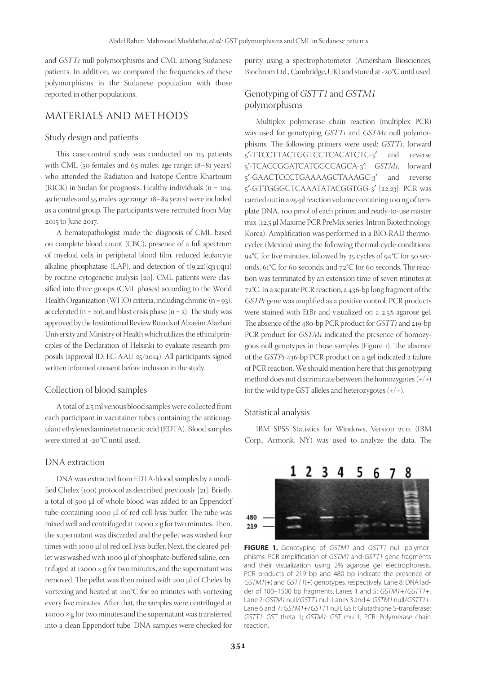and *GSTT1* null polymorphisms and CML among Sudanese patients. In addition, we compared the frequencies of these polymorphisms in the Sudanese population with those reported in other populations.

## MATERIALS AND METHODS

#### Study design and patients

This case-control study was conducted on 115 patients with CML (50 females and 65 males, age range: 18–81 years) who attended the Radiation and Isotope Centre Khartoum (RICK) in Sudan for prognosis. Healthy individuals (n = 104, 49 females and 55 males, age range: 18–84 years) were included as a control group. The participants were recruited from May 2015 to June 2017.

A hematopathologist made the diagnosis of CML based on complete blood count (CBC), presence of a full spectrum of myeloid cells in peripheral blood film, reduced leukocyte alkaline phosphatase (LAP), and detection of t(9;22)(q34;q11) by routine cytogenetic analysis [20]. CML patients were classified into three groups (CML phases) according to the World Health Organization (WHO) criteria, including chronic (n = 93), accelerated  $(n = 20)$ , and blast crisis phase  $(n = 2)$ . The study was approved by the Institutional Review Boards of Alzaeim Alazhari University and Ministry of Health which utilizes the ethical principles of the Declaration of Helsinki to evaluate research proposals (approval ID: EC-AAU 25/2014). All participants signed written informed consent before inclusion in the study.

#### Collection of blood samples

A total of 2.5 ml venous blood samples were collected from each participant in vacutainer tubes containing the anticoagulant ethylenediaminetetraacetic acid (EDTA). Blood samples were stored at -20°C until used.

#### DNA extraction

DNA was extracted from EDTA-blood samples by a modified Chelex (100) protocol as described previously [21]. Briefly, a total of 500 µl of whole blood was added to an Eppendorf tube containing 1000 µl of red cell lysis buffer. The tube was mixed well and centrifuged at  $12000 \times g$  for two minutes. Then, the supernatant was discarded and the pellet was washed four times with 1000 µl of red cell lysis buffer. Next, the cleared pellet was washed with 1000 µl of phosphate-buffered saline, centrifuged at  $12000 \times g$  for two minutes, and the supernatant was removed. The pellet was then mixed with 200 µl of Chelex by vortexing and heated at 100°C for 20 minutes with vortexing every five minutes. After that, the samples were centrifuged at 14000 × g for two minutes and the supernatant was transferred into a clean Eppendorf tube. DNA samples were checked for

purity using a spectrophotometer (Amersham Biosciences, Biochrom Ltd., Cambridge, UK) and stored at -20°C until used.

### Genotyping of GSTT1 and GSTM1 polymorphisms

Multiplex polymerase chain reaction (multiplex PCR) was used for genotyping *GSTT1* and *GSTM1* null polymorphisms. The following primers were used: *GSTT1*, forward 5′-TTCCTTACTGGTCCTCACATCTC-3′ and reverse 5′-TCACCGGATCATGGCCAGCA-3′; *GSTM1*, forward 5′-GAACTCCCTGAAAAGCTAAAGC-3′ and reverse 5′-GTTGGGCTCAAATATACGGTGG-3′ [22,23]. PCR was carried out in a 25-μl reaction volume containing 100 ng of template DNA, 100 pmol of each primer, and ready-to-use master mix (12.5 μl Maxime PCR PreMix series, Intron Biotechnology, Korea). Amplification was performed in a BIO-RAD thermocycler (Mexico) using the following thermal cycle conditions: 94°C for five minutes, followed by 35 cycles of 94°C for 50 seconds, 61°C for 60 seconds, and 72°C for 60 seconds. The reaction was terminated by an extension time of seven minutes at 72°C. In a separate PCR reaction, a 436-bp long fragment of the *GSTP1* gene was amplified as a positive control. PCR products were stained with EtBr and visualized on a 2.5% agarose gel. The absence of the 480-bp PCR product for *GSTT1* and 219-bp PCR product for *GSTM1* indicated the presence of homozygous null genotypes in those samples (Figure 1). The absence of the *GSTP1* 436-bp PCR product on a gel indicated a failure of PCR reaction. We should mention here that this genotyping method does not discriminate between the homozygotes (+/+) for the wild type GST alleles and heterozygotes  $(+/-)$ .

#### Statistical analysis

IBM SPSS Statistics for Windows, Version 21.0. (IBM Corp., Armonk, NY) was used to analyze the data. The



FIGURE 1. Genotyping of GSTM1 and GSTT1 null polymorphisms. PCR amplification of GSTM1 and GSTT1 gene fragments and their visualization using 2% agarose gel electrophoresis. PCR products of 219 bp and 480 bp indicate the presence of GSTM1(+) and GSTT1(+) genotypes, respectively. Lane 8: DNA ladder of 100–1500 bp fragments. Lanes 1 and 5: GSTM1+/GSTT1+. Lane 2: GSTM1 null/GSTT1 null. Lanes 3 and 4: GSTM1 null/GSTT1+. Lane 6 and 7: GSTM1+/GSTT1 null. GST: Glutathione S-transferase; GSTT1: GST theta 1; GSTM1: GST mu 1; PCR: Polymerase chain reaction.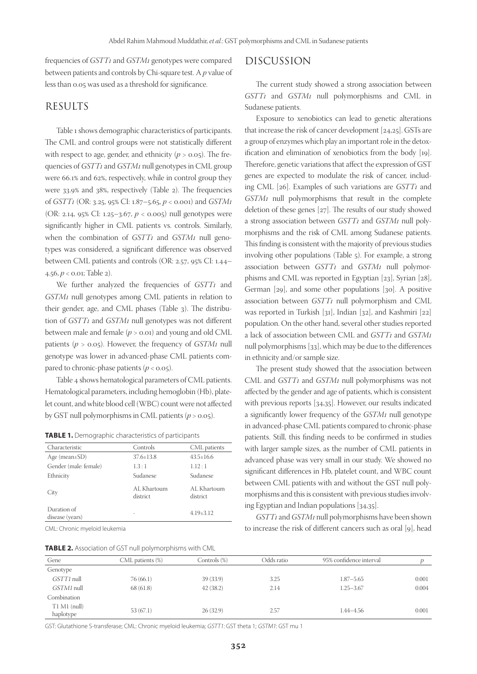frequencies of *GSTT1* and *GSTM1* genotypes were compared between patients and controls by Chi-square test. A *p* value of less than 0.05 was used as a threshold for significance.

#### RESULTS

Table 1 shows demographic characteristics of participants. The CML and control groups were not statistically different with respect to age, gender, and ethnicity  $(p > 0.05)$ . The frequencies of *GSTT1* and *GSTM1* null genotypes in CML group were 66.1% and 62%, respectively, while in control group they were 33.9% and 38%, respectively (Table 2). The frequencies of *GSTT1* (OR: 3.25, 95% CI: 1.87–5.65, *p* < 0.001) and *GSTM1* (OR: 2.14, 95% CI: 1.25–3.67, *p* < 0.005) null genotypes were significantly higher in CML patients vs. controls. Similarly, when the combination of *GSTT1* and *GSTM1* null genotypes was considered, a significant difference was observed between CML patients and controls (OR: 2.57, 95% CI: 1.44– 4.56, *p* < 0.01; Table 2).

We further analyzed the frequencies of *GSTT1* and *GSTM1* null genotypes among CML patients in relation to their gender, age, and CML phases (Table 3). The distribution of *GSTT1* and *GSTM1* null genotypes was not different between male and female (*p* > 0.01) and young and old CML patients (*p* > 0.05). However, the frequency of *GSTM1* null genotype was lower in advanced-phase CML patients compared to chronic-phase patients  $(p < 0.05)$ .

Table 4 shows hematological parameters of CML patients. Hematological parameters, including hemoglobin (Hb), platelet count, and white blood cell (WBC) count were not affected by GST null polymorphisms in CML patients (*p* > 0.05).

| Characteristic                 | Controls                | CML patients            |
|--------------------------------|-------------------------|-------------------------|
| Age (mean $\pm$ SD)            | $37.6 + 13.8$           | $43.5 + 16.6$           |
| Gender (male: female)          | 1.3:1                   | 1.12:1                  |
| Ethnicity                      | Sudanese                | Sudanese                |
| City                           | AL Khartoum<br>district | AL Khartoum<br>district |
| Duration of<br>disease (years) |                         | $4.19 \pm 3.12$         |
|                                |                         |                         |

CML: Chronic myeloid leukemia

**TABLE 2.** Association of GST null polymorphisms with CML

## DISCUSSION

The current study showed a strong association between *GSTT1* and *GSTM1* null polymorphisms and CML in Sudanese patients.

Exposure to xenobiotics can lead to genetic alterations that increase the risk of cancer development [24,25]. GSTs are a group of enzymes which play an important role in the detoxification and elimination of xenobiotics from the body [19]. Therefore, genetic variations that affect the expression of GST genes are expected to modulate the risk of cancer, including CML [26]. Examples of such variations are *GSTT1* and *GSTM1* null polymorphisms that result in the complete deletion of these genes [27]. The results of our study showed a strong association between *GSTT1* and *GSTM1* null polymorphisms and the risk of CML among Sudanese patients. This finding is consistent with the majority of previous studies involving other populations (Table 5). For example, a strong association between *GSTT1* and *GSTM1* null polymorphisms and CML was reported in Egyptian [23], Syrian [28], German [29], and some other populations [30]. A positive association between *GSTT1* null polymorphism and CML was reported in Turkish [31], Indian [32], and Kashmiri [22] population. On the other hand, several other studies reported a lack of association between CML and *GSTT1* and *GSTM1* null polymorphisms [33], which may be due to the differences in ethnicity and/or sample size.

The present study showed that the association between CML and *GSTT1* and *GSTM1* null polymorphisms was not affected by the gender and age of patients, which is consistent with previous reports [34,35]. However, our results indicated a significantly lower frequency of the *GSTM1* null genotype in advanced-phase CML patients compared to chronic-phase patients. Still, this finding needs to be confirmed in studies with larger sample sizes, as the number of CML patients in advanced phase was very small in our study. We showed no significant differences in Hb, platelet count, and WBC count between CML patients with and without the GST null polymorphisms and this is consistent with previous studies involving Egyptian and Indian populations [34,35].

*GSTT1* and *GSTM1* null polymorphisms have been shown to increase the risk of different cancers such as oral [9], head

| <b>INDEE 2.</b> POSOCIATION OF USE HIGH DOITHIOLDING WILL CIVIL |                  |              |            |                         |       |
|-----------------------------------------------------------------|------------------|--------------|------------|-------------------------|-------|
| Gene                                                            | CML patients (%) | Controls (%) | Odds ratio | 95% confidence interval |       |
| Genotype                                                        |                  |              |            |                         |       |
| GSTT1 null                                                      | 76 (66.1)        | 39 (33.9)    | 3.25       | $1.87 - 5.65$           | 0.001 |
| GSTM1 null                                                      | 68 (61.8)        | 42(38.2)     | 2.14       | $1.25 - 3.67$           | 0.004 |
| Combination                                                     |                  |              |            |                         |       |
| $T1 M1$ (null)<br>haplotype                                     | 53(67.1)         | 26(32.9)     | 2.57       | 1.44-4.56               | 0.001 |

GST: Glutathione S-transferase; CML: Chronic myeloid leukemia; GSTT1: GST theta 1; GSTM1: GST mu 1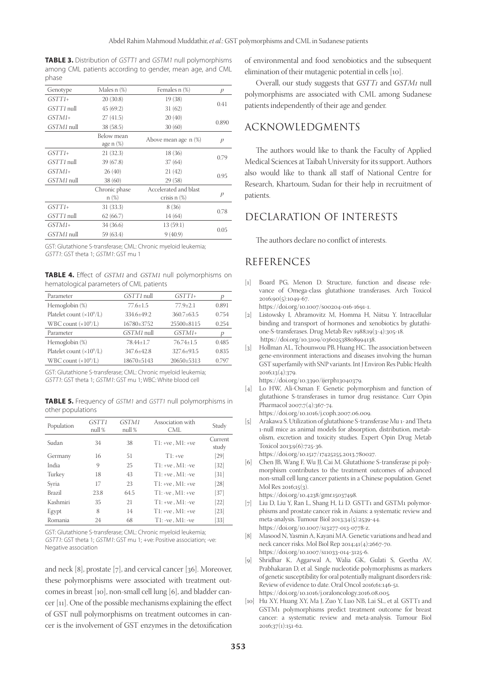**TABLE 3.** Distribution of GSTT1 and GSTM1 null polymorphisms among CML patients according to gender, mean age, and CML phase

| Males $n$ $%$                     | Females n (%)         | p                          |  |
|-----------------------------------|-----------------------|----------------------------|--|
| 20(30.8)                          | 19 (38)               | 0.41                       |  |
| 45(69.2)                          | 31(62)                |                            |  |
| 27(41.5)                          | 20(40)                |                            |  |
| 38 (58.5)                         | 30(60)                | 0.890                      |  |
| Below mean<br>age $n$ $(\%)$      | Above mean age n (%)  | p                          |  |
| 21(32.3)                          | 18 (36)               |                            |  |
| 39(67.8)                          | 37(64)                | 0.79                       |  |
| $GSTM1+$<br>26(40)<br>21(42)      |                       |                            |  |
| 38 (60)                           | 29 (58)               | 0.95                       |  |
| Chronic phase                     | Accelerated and blast | p                          |  |
| $GSTTI+$                          |                       |                            |  |
| 62(66.7)                          | 14 (64)               | 0.78                       |  |
| $GSTM1+$<br>13(59.1)<br>34 (36.6) |                       |                            |  |
| 59 (63.4)                         | 9(40.9)               | 0.05                       |  |
|                                   | $n(\%)$<br>31 (33.3)  | crisis $n$ $(\%)$<br>8(36) |  |

GST: Glutathione S-transferase; CML: Chronic myeloid leukemia; GSTT1: GST theta 1; GSTM1: GST mu 1

**TABLE 4.** Effect of GSTM1 and GSTM1 null polymorphisms on hematological parameters of CML patients

| Parameter                        | GSTT1 null   | $GSTTI+$       |       |
|----------------------------------|--------------|----------------|-------|
| Hemoglobin (%)                   | $77.6 + 1.5$ | $77.9 + 2.1$   | 0.891 |
| Platelet count $(\times 10^9/L)$ | 334.6+49.2   | $360.7 + 63.5$ | 0.754 |
| WBC count $(x10^9/L)$            | 16780±3752   | $25500\pm8115$ | 0.254 |
| Parameter                        | GSTM1 null   | $GSTM1+$       | р     |
| Hemoglobin (%)                   | 78.44+1.7    | $76.74 + 1.5$  | 0.485 |
| Platelet count $(\times 10^9/L)$ | 347.6+42.8   | 327.6+93.5     | 0.835 |
| WBC count $(\times 10^9/L)$      | 18670±5143   | 20650±5313     | 0.797 |

GST: Glutathione S-transferase; CML: Chronic myeloid leukemia; GSTT1: GST theta 1; GSTM1: GST mu 1; WBC: White blood cell

**TABLE 5.** Frequency of GSTM1 and GSTT1 null polymorphisms in other populations

| Population    | GSTT1<br>null % | GSTM1<br>null % | Association with<br>CML | Study             |
|---------------|-----------------|-----------------|-------------------------|-------------------|
| Sudan         | 34              | 38              | $T1: +ve, M1: +ve$      | Current<br>study  |
| Germany       | 16              | 51              | $T1: +ve$               | [29]              |
| India         | 9               | 25              | $T1: +ve$ . $M1: -ve$   | [32]              |
| Turkey        | 18              | 43              | $T1: +ve$ . $M1: -ve$   | [31]              |
| Syria         | 17              | 23              | $T1: +ve$ . M $1: +ve$  | [28]              |
| <b>Brazil</b> | 23.8            | 64.5            | $T1: -ve$ . $M1: +ve$   | [37]              |
| Kashmiri      | 35              | 21              | $T1: +ve, M1: -ve$      | [22]              |
| Egypt         | 8               | 14              | $T1: +ve$ . M $1: +ve$  | $\left[23\right]$ |
| Romania       | 24              | 68              | $T1: -ve, M1: -ve$      | [33]              |

GST: Glutathione S-transferase; CML: Chronic myeloid leukemia; GSTT1: GST theta 1; GSTM1: GST mu 1; +ve: Positive association; -ve: Negative association

and neck [8], prostate [7], and cervical cancer [36]. Moreover, these polymorphisms were associated with treatment outcomes in breast [10], non-small cell lung [6], and bladder cancer [11]. One of the possible mechanisms explaining the effect of GST null polymorphisms on treatment outcomes in cancer is the involvement of GST enzymes in the detoxification

of environmental and food xenobiotics and the subsequent elimination of their mutagenic potential in cells [10].

Overall, our study suggests that *GSTT1* and *GSTM1* null polymorphisms are associated with CML among Sudanese patients independently of their age and gender.

## ACKNOWLEDGMENTS

The authors would like to thank the Faculty of Applied Medical Sciences at Taibah University for its support. Authors also would like to thank all staff of National Centre for Research, Khartoum, Sudan for their help in recruitment of patients.

# DECLARATION OF INTERESTS

The authors declare no conflict of interests.

# REFERENCES

- [1] Board PG, Menon D. Structure, function and disease relevance of Omega-class glutathione transferases. Arch Toxicol 2016;90(5):1049-67.
- https://doi.org/10.1007/s00204-016-1691-1.
- [2] Listowsky I, Abramovitz M, Homma H, Niitsu Y. Intracellular binding and transport of hormones and xenobiotics by glutathione-S-transferases. Drug Metab Rev 1988;19(3-4):305-18. https://doi.org/10.3109/03602538808994138.
- [3] Hollman AL, Tchounwou PB, Huang HC. The association between gene-environment interactions and diseases involving the human GST superfamily with SNP variants. Int J Environ Res Public Health 2016;13(4):379.

https://doi.org/10.3390/ijerph13040379.

- [4] Lo HW, Ali-Osman F. Genetic polymorphism and function of glutathione S-transferases in tumor drug resistance. Curr Opin Pharmacol 2007;7(4):367-74. https://doi.org/10.1016/j.coph.2007.06.009.
- [5] Arakawa S. Utilization of glutathione S-transferase Mu 1- and Theta 1-null mice as animal models for absorption, distribution, metabolism, excretion and toxicity studies. Expert Opin Drug Metab Toxicol 2013;9(6):725-36.

https://doi.org/10.1517/17425255.2013.780027.

[6] Chen JB, Wang F, Wu JJ, Cai M. Glutathione S-transferase pi polymorphism contributes to the treatment outcomes of advanced non-small cell lung cancer patients in a Chinese population. Genet Mol Res 2016;15(3). https://doi.org/10.4238/gmr.15037498.

[7] Liu D, Liu Y, Ran L, Shang H, Li D. GSTT1 and GSTM1 polymor-

- phisms and prostate cancer risk in Asians: a systematic review and meta-analysis. Tumour Biol 2013;34(5):2539-44. https://doi.org/10.1007/s13277-013-0778-z.
- [8] Masood N, Yasmin A, Kayani MA. Genetic variations and head and neck cancer risks. Mol Biol Rep 2014;41(4):2667-70. https://doi.org/10.1007/s11033-014-3125-6.
- [9] Shridhar K, Aggarwal A, Walia GK, Gulati S, Geetha AV, Prabhakaran D, et al. Single nucleotide polymorphisms as markers of genetic susceptibility for oral potentially malignant disorders risk: Review of evidence to date. Oral Oncol 2016;61:146-51. https://doi.org/10.1016/j.oraloncology.2016.08.005.
- [10] Hu XY, Huang XY, Ma J, Zuo Y, Luo NB, Lai SL, et al. GSTT1 and GSTM1 polymorphisms predict treatment outcome for breast cancer: a systematic review and meta-analysis. Tumour Biol 2016;37(1):151-62.